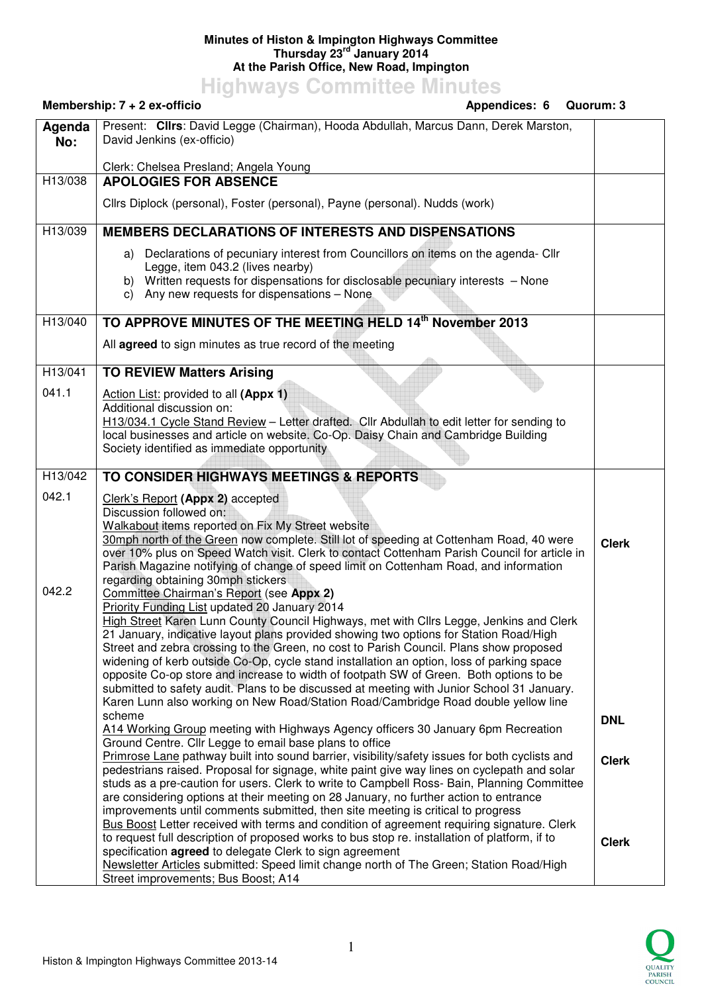## **Minutes of Histon & Impington Highways Committee Thursday 23rd January 2014 At the Parish Office, New Road, Impington**

**Highways Committee Minutes** 

|               | Membership: 7 + 2 ex-officio<br>Appendices: 6                                                                                                                                                                                                               | Quorum: 3    |
|---------------|-------------------------------------------------------------------------------------------------------------------------------------------------------------------------------------------------------------------------------------------------------------|--------------|
| Agenda<br>No: | Present: Clirs: David Legge (Chairman), Hooda Abdullah, Marcus Dann, Derek Marston,<br>David Jenkins (ex-officio)                                                                                                                                           |              |
|               | Clerk: Chelsea Presland; Angela Young                                                                                                                                                                                                                       |              |
| H13/038       | <b>APOLOGIES FOR ABSENCE</b>                                                                                                                                                                                                                                |              |
|               | Cllrs Diplock (personal), Foster (personal), Payne (personal). Nudds (work)                                                                                                                                                                                 |              |
| H13/039       | <b>MEMBERS DECLARATIONS OF INTERESTS AND DISPENSATIONS</b>                                                                                                                                                                                                  |              |
|               | a) Declarations of pecuniary interest from Councillors on items on the agenda- Cllr<br>Legge, item 043.2 (lives nearby)<br>b) Written requests for dispensations for disclosable pecuniary interests - None<br>c) Any new requests for dispensations - None |              |
| H13/040       | TO APPROVE MINUTES OF THE MEETING HELD 14th November 2013                                                                                                                                                                                                   |              |
|               | All agreed to sign minutes as true record of the meeting                                                                                                                                                                                                    |              |
| H13/041       | <b>TO REVIEW Matters Arising</b>                                                                                                                                                                                                                            |              |
| 041.1         | Action List: provided to all (Appx 1)                                                                                                                                                                                                                       |              |
|               | Additional discussion on:                                                                                                                                                                                                                                   |              |
|               | H13/034.1 Cycle Stand Review - Letter drafted. Cllr Abdullah to edit letter for sending to<br>local businesses and article on website. Co-Op. Daisy Chain and Cambridge Building                                                                            |              |
|               | Society identified as immediate opportunity                                                                                                                                                                                                                 |              |
|               |                                                                                                                                                                                                                                                             |              |
| H13/042       | TO CONSIDER HIGHWAYS MEETINGS & REPORTS                                                                                                                                                                                                                     |              |
| 042.1         | Clerk's Report (Appx 2) accepted                                                                                                                                                                                                                            |              |
|               | Discussion followed on:                                                                                                                                                                                                                                     |              |
|               | Walkabout items reported on Fix My Street website<br>30mph north of the Green now complete. Still lot of speeding at Cottenham Road, 40 were                                                                                                                |              |
|               | over 10% plus on Speed Watch visit. Clerk to contact Cottenham Parish Council for article in                                                                                                                                                                | <b>Clerk</b> |
|               | Parish Magazine notifying of change of speed limit on Cottenham Road, and information                                                                                                                                                                       |              |
| 042.2         | regarding obtaining 30mph stickers                                                                                                                                                                                                                          |              |
|               | Committee Chairman's Report (see Appx 2)<br>Priority Funding List updated 20 January 2014                                                                                                                                                                   |              |
|               | High Street Karen Lunn County Council Highways, met with Cllrs Legge, Jenkins and Clerk                                                                                                                                                                     |              |
|               | 21 January, indicative layout plans provided showing two options for Station Road/High                                                                                                                                                                      |              |
|               | Street and zebra crossing to the Green, no cost to Parish Council. Plans show proposed                                                                                                                                                                      |              |
|               | widening of kerb outside Co-Op, cycle stand installation an option, loss of parking space<br>opposite Co-op store and increase to width of footpath SW of Green. Both options to be                                                                         |              |
|               | submitted to safety audit. Plans to be discussed at meeting with Junior School 31 January.                                                                                                                                                                  |              |
|               | Karen Lunn also working on New Road/Station Road/Cambridge Road double yellow line                                                                                                                                                                          |              |
|               | scheme<br>A14 Working Group meeting with Highways Agency officers 30 January 6pm Recreation                                                                                                                                                                 | <b>DNL</b>   |
|               | Ground Centre. Cllr Legge to email base plans to office                                                                                                                                                                                                     |              |
|               | Primrose Lane pathway built into sound barrier, visibility/safety issues for both cyclists and                                                                                                                                                              | <b>Clerk</b> |
|               | pedestrians raised. Proposal for signage, white paint give way lines on cyclepath and solar                                                                                                                                                                 |              |
|               | studs as a pre-caution for users. Clerk to write to Campbell Ross- Bain, Planning Committee<br>are considering options at their meeting on 28 January, no further action to entrance                                                                        |              |
|               | improvements until comments submitted, then site meeting is critical to progress                                                                                                                                                                            |              |
|               | Bus Boost Letter received with terms and condition of agreement requiring signature. Clerk                                                                                                                                                                  |              |
|               | to request full description of proposed works to bus stop re. installation of platform, if to                                                                                                                                                               | <b>Clerk</b> |
|               | specification agreed to delegate Clerk to sign agreement                                                                                                                                                                                                    |              |
|               | Newsletter Articles submitted: Speed limit change north of The Green; Station Road/High<br>Street improvements; Bus Boost; A14                                                                                                                              |              |